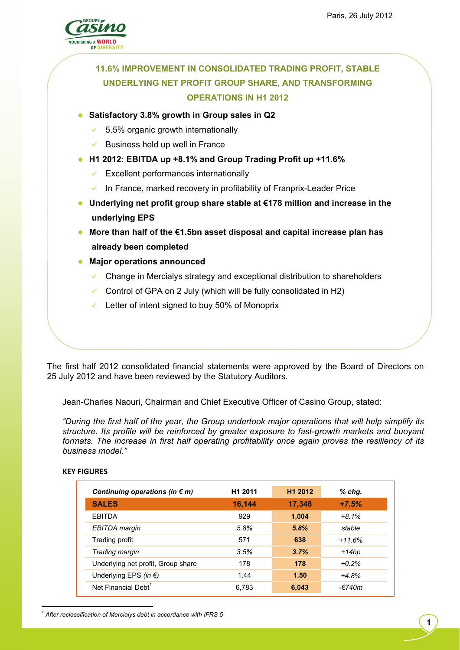

# **11.6% IMPROVEMENT IN CONSOLIDATED TRADING PROFIT, STABLE UNDERLYING NET PROFIT GROUP SHARE, AND TRANSFORMING OPERATIONS IN H1 2012**

### **Satisfactory 3.8% growth in Group sales in Q2**

- $\times$  5.5% organic growth internationally
- Business held up well in France
- **H1 2012: EBITDA up +8.1% and Group Trading Profit up +11.6%** 
	- $\checkmark$  Excellent performances internationally
	- $\checkmark$  In France, marked recovery in profitability of Franprix-Leader Price
- **Underlying net profit group share stable at €178 million and increase in the underlying EPS**
- **More than half of the €1.5bn asset disposal and capital increase plan has already been completed**
- **Major operations announced** 
	- Change in Mercialys strategy and exceptional distribution to shareholders
	- Control of GPA on 2 July (which will be fully consolidated in H2)
	- $\checkmark$  Letter of intent signed to buy 50% of Monoprix

The first half 2012 consolidated financial statements were approved by the Board of Directors on 25 July 2012 and have been reviewed by the Statutory Auditors.

Jean-Charles Naouri, Chairman and Chief Executive Officer of Casino Group, stated:

*"During the first half of the year, the Group undertook major operations that will help simplify its structure. Its profile will be reinforced by greater exposure to fast-growth markets and buoyant formats. The increase in first half operating profitability once again proves the resiliency of its business model."* 

#### **KEY FIGURES**

 $\overline{a}$ 

| Continuing operations (in $\epsilon$ m) | H <sub>1</sub> 2011 | H <sub>1</sub> 2012 | $%$ chg. |
|-----------------------------------------|---------------------|---------------------|----------|
| <b>SALES</b>                            | 16,144              | 17,348              | $+7.5%$  |
| <b>EBITDA</b>                           | 929                 | 1,004               | $+8.1%$  |
| EBITDA margin                           | 5.8%                | 5.8%                | stable   |
| Trading profit                          | 571                 | 638                 | $+11.6%$ |
| Trading margin                          | 3.5%                | 3.7%                | +14bp    |
| Underlying net profit, Group share      | 178                 | 178                 | $+0.2%$  |
| Underlying EPS (in $\epsilon$ )         | 1.44                | 1.50                | $+4.8%$  |
| Net Financial Debt <sup>1</sup>         | 6.783               | 6,043               | -€740m   |

*1 After reclassification of Mercialys debt in accordance with IFRS 5*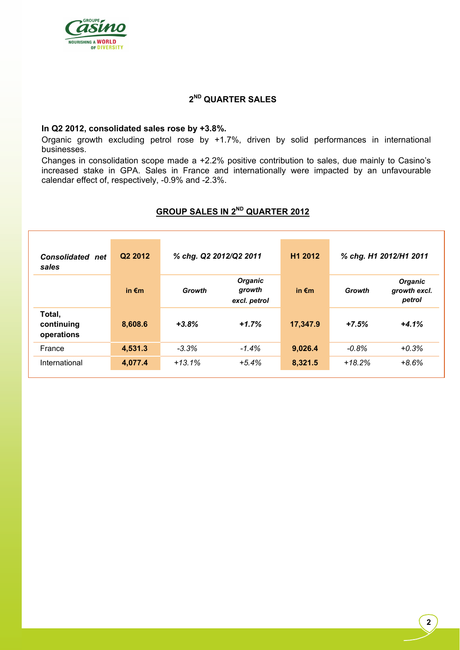

## **2ND QUARTER SALES**

#### **In Q2 2012, consolidated sales rose by +3.8%.**

Organic growth excluding petrol rose by +1.7%, driven by solid performances in international businesses.

Changes in consolidation scope made a +2.2% positive contribution to sales, due mainly to Casino's increased stake in GPA. Sales in France and internationally were impacted by an unfavourable calendar effect of, respectively, -0.9% and -2.3%.

# **GROUP SALES IN 2ND QUARTER 2012**

| <b>Consolidated</b> net<br>sales   | Q <sub>2</sub> 2012 | % chg. Q2 2012/Q2 2011 |                                          | H <sub>1</sub> 2012 | % chg. H1 2012/H1 2011 |                                          |  |
|------------------------------------|---------------------|------------------------|------------------------------------------|---------------------|------------------------|------------------------------------------|--|
|                                    | in $\epsilon$ m     | Growth                 | <b>Organic</b><br>growth<br>excl. petrol | in $\epsilon$ m     | Growth                 | <b>Organic</b><br>growth excl.<br>petrol |  |
| Total,<br>continuing<br>operations | 8,608.6             | $+3.8%$                | $+1.7%$                                  | 17,347.9            | $+7.5%$                | $+4.1%$                                  |  |
| France                             | 4,531.3             | $-3.3%$                | $-1.4%$                                  | 9,026.4             | $-0.8%$                | $+0.3%$                                  |  |
| International                      | 4,077.4             | $+13.1%$               | $+5.4%$                                  | 8,321.5             | $+18.2%$               | $+8.6%$                                  |  |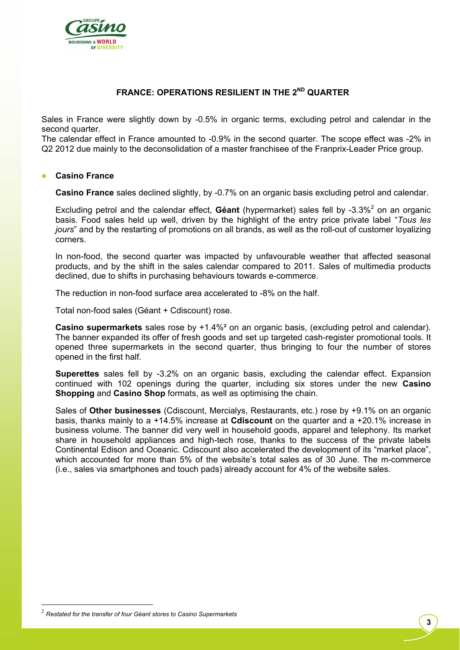

## **FRANCE: OPERATIONS RESILIENT IN THE 2<sup>ND</sup> QUARTER**

Sales in France were slightly down by -0.5% in organic terms, excluding petrol and calendar in the second quarter.

The calendar effect in France amounted to -0.9% in the second quarter. The scope effect was -2% in Q2 2012 due mainly to the deconsolidation of a master franchisee of the Franprix-Leader Price group.

#### **Casino France**

**Casino France** sales declined slightly, by -0.7% on an organic basis excluding petrol and calendar.

Excluding petrol and the calendar effect, Géant (hypermarket) sales fell by -3.3%<sup>2</sup> on an organic basis. Food sales held up well, driven by the highlight of the entry price private label "*Tous les jours*" and by the restarting of promotions on all brands, as well as the roll-out of customer loyalizing corners.

In non-food, the second quarter was impacted by unfavourable weather that affected seasonal products, and by the shift in the sales calendar compared to 2011. Sales of multimedia products declined, due to shifts in purchasing behaviours towards e-commerce.

The reduction in non-food surface area accelerated to -8% on the half.

Total non-food sales (Géant + Cdiscount) rose.

**Casino supermarkets** sales rose by +1.4%² on an organic basis, (excluding petrol and calendar). The banner expanded its offer of fresh goods and set up targeted cash-register promotional tools. It opened three supermarkets in the second quarter, thus bringing to four the number of stores opened in the first half.

**Superettes** sales fell by -3.2% on an organic basis, excluding the calendar effect. Expansion continued with 102 openings during the quarter, including six stores under the new **Casino Shopping** and **Casino Shop** formats, as well as optimising the chain.

Sales of **Other businesses** (Cdiscount, Mercialys, Restaurants, etc.) rose by +9.1% on an organic basis, thanks mainly to a +14.5% increase at **Cdiscount** on the quarter and a +20.1% increase in business volume. The banner did very well in household goods, apparel and telephony. Its market share in household appliances and high-tech rose, thanks to the success of the private labels Continental Edison and Oceanic. Cdiscount also accelerated the development of its "market place", which accounted for more than 5% of the website's total sales as of 30 June. The m-commerce (i.e., sales via smartphones and touch pads) already account for 4% of the website sales.

 $\overline{a}$ 

<sup>2</sup> *Restated for the transfer of four Géant stores to Casino Supermarkets*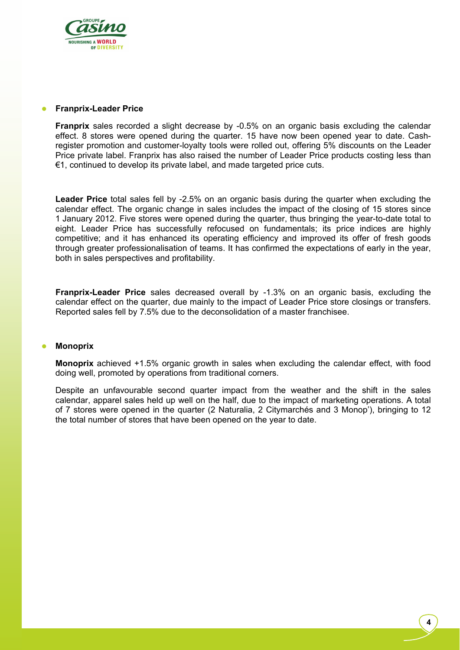

#### **Franprix-Leader Price**

**Franprix** sales recorded a slight decrease by -0.5% on an organic basis excluding the calendar effect. 8 stores were opened during the quarter. 15 have now been opened year to date. Cashregister promotion and customer-loyalty tools were rolled out, offering 5% discounts on the Leader Price private label. Franprix has also raised the number of Leader Price products costing less than €1, continued to develop its private label, and made targeted price cuts.

**Leader Price** total sales fell by -2.5% on an organic basis during the quarter when excluding the calendar effect. The organic change in sales includes the impact of the closing of 15 stores since 1 January 2012. Five stores were opened during the quarter, thus bringing the year-to-date total to eight. Leader Price has successfully refocused on fundamentals; its price indices are highly competitive; and it has enhanced its operating efficiency and improved its offer of fresh goods through greater professionalisation of teams. It has confirmed the expectations of early in the year, both in sales perspectives and profitability.

**Franprix-Leader Price** sales decreased overall by -1.3% on an organic basis, excluding the calendar effect on the quarter, due mainly to the impact of Leader Price store closings or transfers. Reported sales fell by 7.5% due to the deconsolidation of a master franchisee.

#### **Monoprix**

**Monoprix** achieved +1.5% organic growth in sales when excluding the calendar effect, with food doing well, promoted by operations from traditional corners.

Despite an unfavourable second quarter impact from the weather and the shift in the sales calendar, apparel sales held up well on the half, due to the impact of marketing operations. A total of 7 stores were opened in the quarter (2 Naturalia, 2 Citymarchés and 3 Monop'), bringing to 12 the total number of stores that have been opened on the year to date.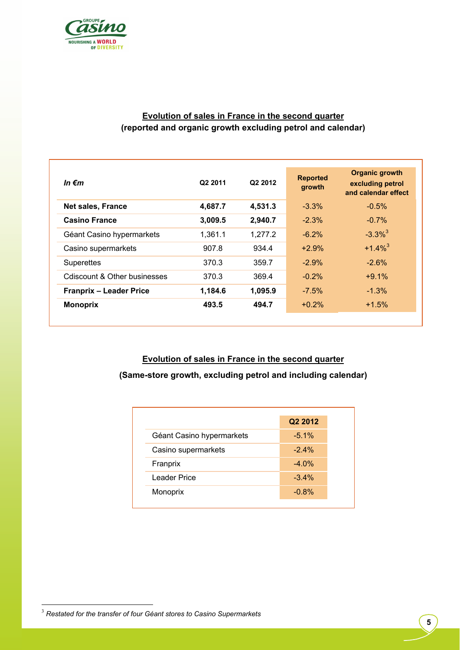

# **Evolution of sales in France in the second quarter (reported and organic growth excluding petrol and calendar)**

| In $\epsilon$ m                | Q2 2011 | Q <sub>2</sub> 2012 | <b>Reported</b><br>growth | <b>Organic growth</b><br>excluding petrol<br>and calendar effect |
|--------------------------------|---------|---------------------|---------------------------|------------------------------------------------------------------|
| <b>Net sales, France</b>       | 4,687.7 | 4,531.3             | $-3.3\%$                  | $-0.5%$                                                          |
| <b>Casino France</b>           | 3,009.5 | 2,940.7             | $-2.3%$                   | $-0.7%$                                                          |
| Géant Casino hypermarkets      | 1,361.1 | 1,277.2             | $-6.2%$                   | $-3.3\%$ <sup>3</sup>                                            |
| Casino supermarkets            | 907.8   | 934.4               | $+2.9%$                   | $+1.4\%$ <sup>3</sup>                                            |
| <b>Superettes</b>              | 370.3   | 359.7               | $-2.9%$                   | $-2.6%$                                                          |
| Cdiscount & Other businesses   | 370.3   | 369.4               | $-0.2%$                   | $+9.1%$                                                          |
| <b>Franprix - Leader Price</b> | 1,184.6 | 1,095.9             | $-7.5%$                   | $-1.3%$                                                          |
| <b>Monoprix</b>                | 493.5   | 494.7               | $+0.2%$                   | $+1.5%$                                                          |
|                                |         |                     |                           |                                                                  |

**Evolution of sales in France in the second quarter (Same-store growth, excluding petrol and including calendar)**

|                           | Q2 2012  |
|---------------------------|----------|
| Géant Casino hypermarkets | $-5.1\%$ |
| Casino supermarkets       | $-2.4%$  |
| Franprix                  | $-4.0%$  |
| Leader Price              | $-3.4%$  |
| Monoprix                  | $-0.8%$  |
|                           |          |

 $\overline{a}$ 

<sup>3</sup> *Restated for the transfer of four Géant stores to Casino Supermarkets*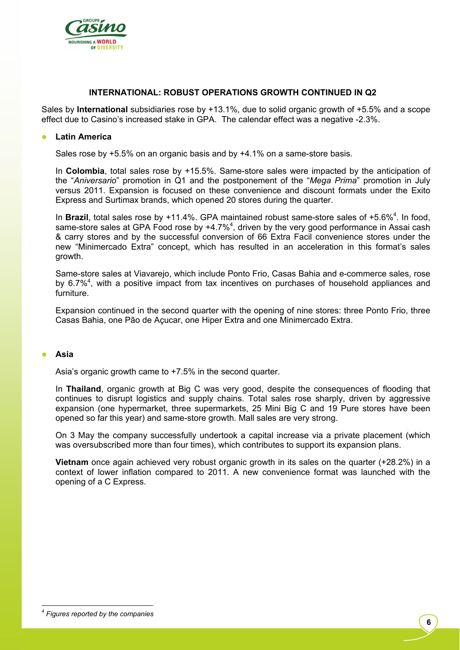

#### **INTERNATIONAL: ROBUST OPERATIONS GROWTH CONTINUED IN Q2**

Sales by **International** subsidiaries rose by +13.1%, due to solid organic growth of +5.5% and a scope effect due to Casino's increased stake in GPA. The calendar effect was a negative -2.3%.

#### **Latin America**

Sales rose by +5.5% on an organic basis and by +4.1% on a same-store basis.

In **Colombia**, total sales rose by +15.5%. Same-store sales were impacted by the anticipation of the "*Aniversario*" promotion in Q1 and the postponement of the "*Mega Prima*" promotion in July versus 2011. Expansion is focused on these convenience and discount formats under the Exito Express and Surtimax brands, which opened 20 stores during the quarter.

In Brazil, total sales rose by +11.4%. GPA maintained robust same-store sales of +5.6%<sup>4</sup>. In food, same-store sales at GPA Food rose by  $+4.7\%$ <sup>4</sup>, driven by the very good performance in Assai cash & carry stores and by the successful conversion of 66 Extra Facil convenience stores under the new "Minimercado Extra" concept, which has resulted in an acceleration in this format's sales growth.

Same-store sales at Viavarejo, which include Ponto Frio, Casas Bahia and e-commerce sales, rose by 6.7%<sup>4</sup>, with a positive impact from tax incentives on purchases of household appliances and furniture.

Expansion continued in the second quarter with the opening of nine stores: three Ponto Frio, three Casas Bahia, one Pão de Açucar, one Hiper Extra and one Minimercado Extra.

#### **Asia**

Asia's organic growth came to +7.5% in the second quarter.

In **Thailand**, organic growth at Big C was very good, despite the consequences of flooding that continues to disrupt logistics and supply chains. Total sales rose sharply, driven by aggressive expansion (one hypermarket, three supermarkets, 25 Mini Big C and 19 Pure stores have been opened so far this year) and same-store growth. Mall sales are very strong.

On 3 May the company successfully undertook a capital increase via a private placement (which was oversubscribed more than four times), which contributes to support its expansion plans.

**Vietnam** once again achieved very robust organic growth in its sales on the quarter (+28.2%) in a context of lower inflation compared to 2011. A new convenience format was launched with the opening of a C Express.

 $\overline{a}$ 

*<sup>4</sup> Figures reported by the companies*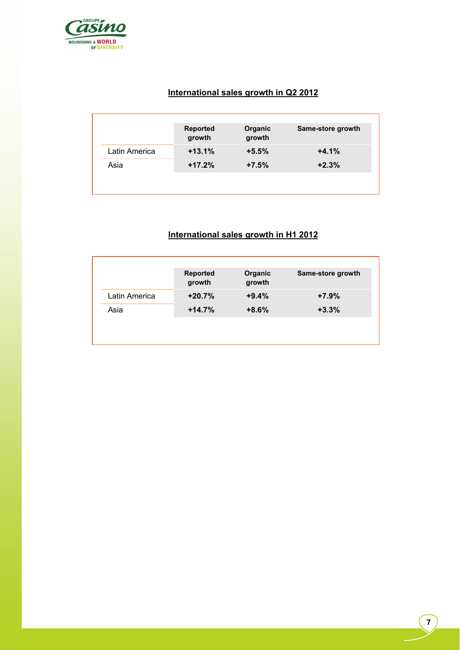

# **International sales growth in Q2 2012**

| $+13.1%$ | $+5.5%$ | $+4.1%$ |
|----------|---------|---------|
| $+17.2%$ | $+7.5%$ | $+2.3%$ |
|          |         |         |

# **International sales growth in H1 2012**

|               | <b>Reported</b><br>growth | Organic<br>growth | Same-store growth |
|---------------|---------------------------|-------------------|-------------------|
| Latin America | $+20.7%$                  | $+9.4%$           | $+7.9%$           |
| Asia          | $+14.7%$                  | $+8.6%$           | $+3.3%$           |
|               |                           |                   |                   |
|               |                           |                   |                   |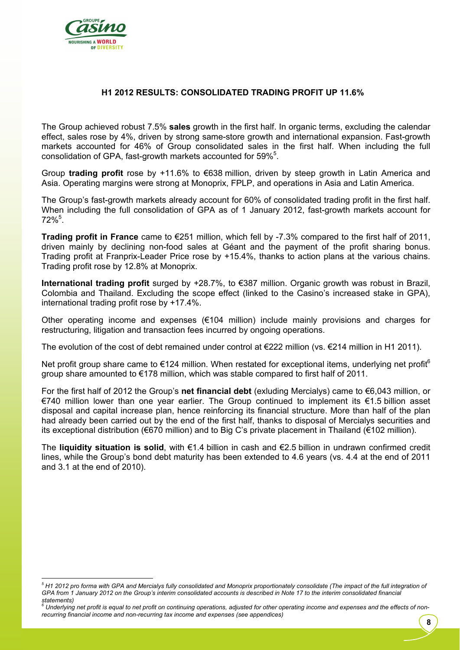

### **H1 2012 RESULTS: CONSOLIDATED TRADING PROFIT UP 11.6%**

The Group achieved robust 7.5% **sales** growth in the first half. In organic terms, excluding the calendar effect, sales rose by 4%, driven by strong same-store growth and international expansion. Fast-growth markets accounted for 46% of Group consolidated sales in the first half. When including the full consolidation of GPA, fast-growth markets accounted for 59%<sup>5</sup>.

Group **trading profit** rose by +11.6% to €638 million, driven by steep growth in Latin America and Asia. Operating margins were strong at Monoprix, FPLP, and operations in Asia and Latin America.

The Group's fast-growth markets already account for 60% of consolidated trading profit in the first half. When including the full consolidation of GPA as of 1 January 2012, fast-growth markets account for  $72\%$ <sup>5</sup>.

**Trading profit in France** came to €251 million, which fell by -7.3% compared to the first half of 2011, driven mainly by declining non-food sales at Géant and the payment of the profit sharing bonus. Trading profit at Franprix-Leader Price rose by +15.4%, thanks to action plans at the various chains. Trading profit rose by 12.8% at Monoprix.

**International trading profit** surged by +28.7%, to €387 million. Organic growth was robust in Brazil, Colombia and Thailand. Excluding the scope effect (linked to the Casino's increased stake in GPA), international trading profit rose by +17.4%.

Other operating income and expenses  $(\epsilon 104 \text{ million})$  include mainly provisions and charges for restructuring, litigation and transaction fees incurred by ongoing operations.

The evolution of the cost of debt remained under control at €222 million (vs. €214 million in H1 2011).

Net profit group share came to  $\epsilon$ 124 million. When restated for exceptional items, underlying net profit<sup>6</sup> group share amounted to €178 million, which was stable compared to first half of 2011.

For the first half of 2012 the Group's **net financial debt** (exluding Mercialys) came to €6,043 million, or €740 million lower than one year earlier. The Group continued to implement its €1.5 billion asset disposal and capital increase plan, hence reinforcing its financial structure. More than half of the plan had already been carried out by the end of the first half, thanks to disposal of Mercialys securities and its exceptional distribution (€670 million) and to Big C's private placement in Thailand (€102 million).

The **liquidity situation is solid**, with €1.4 billion in cash and €2.5 billion in undrawn confirmed credit lines, while the Group's bond debt maturity has been extended to 4.6 years (vs. 4.4 at the end of 2011 and 3.1 at the end of 2010).

**8** 

 $\overline{a}$ *<sup>5</sup> H1 2012 pro forma with GPA and Mercialys fully consolidated and Monoprix proportionately consolidate (The impact of the full integration of GPA from 1 January 2012 on the Group's interim consolidated accounts is described in Note 17 to the interim consolidated financial* 

statements)<br><sup>6</sup> Underlying net profit is equal to net profit on continuing operations, adjusted for other operating income and expenses and the effects of non*recurring financial income and non-recurring tax income and expenses (see appendices)*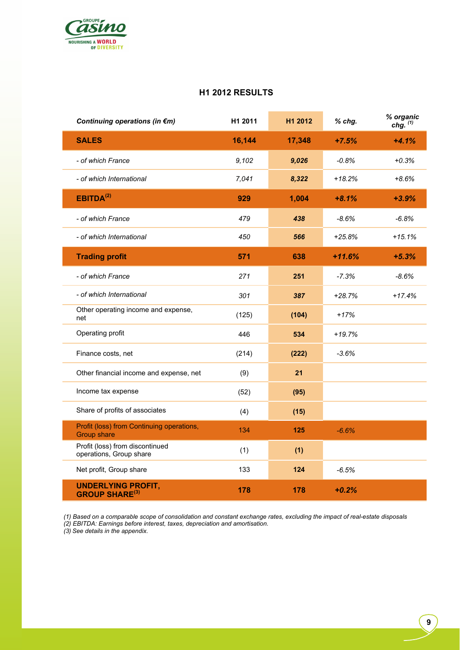

### **H1 2012 RESULTS**

| Continuing operations (in €m)                                   | H1 2011 | H1 2012 | % chg.   | % organic<br>chg. $(1)$ |
|-----------------------------------------------------------------|---------|---------|----------|-------------------------|
| <b>SALES</b>                                                    | 16,144  | 17,348  | $+7.5%$  | $+4.1%$                 |
| - of which France                                               | 9,102   | 9,026   | $-0.8%$  | $+0.3%$                 |
| - of which International                                        | 7.041   | 8,322   | $+18.2%$ | $+8.6%$                 |
| EBITDA <sup>(2)</sup>                                           | 929     | 1,004   | $+8.1%$  | $+3.9%$                 |
| - of which France                                               | 479     | 438     | $-8.6%$  | $-6.8%$                 |
| - of which International                                        | 450     | 566     | $+25.8%$ | $+15.1%$                |
| <b>Trading profit</b>                                           | 571     | 638     | $+11.6%$ | $+5.3%$                 |
| - of which France                                               | 271     | 251     | $-7.3%$  | $-8.6%$                 |
| - of which International                                        | 301     | 387     | +28.7%   | $+17.4%$                |
| Other operating income and expense,<br>net                      | (125)   | (104)   | $+17%$   |                         |
| Operating profit                                                | 446     | 534     | $+19.7%$ |                         |
| Finance costs, net                                              | (214)   | (222)   | $-3.6%$  |                         |
| Other financial income and expense, net                         | (9)     | 21      |          |                         |
| Income tax expense                                              | (52)    | (95)    |          |                         |
| Share of profits of associates                                  | (4)     | (15)    |          |                         |
| Profit (loss) from Continuing operations,<br><b>Group share</b> | 134     | 125     | $-6.6%$  |                         |
| Profit (loss) from discontinued<br>operations, Group share      | (1)     | (1)     |          |                         |
| Net profit, Group share                                         | 133     | 124     | $-6.5%$  |                         |
| <b>UNDERLYING PROFIT,</b><br><b>GROUP SHARE(3)</b>              | 178     | 178     | $+0.2%$  |                         |

*(1) Based on a comparable scope of consolidation and constant exchange rates, excluding the impact of real-estate disposals* 

*(2) EBITDA: Earnings before interest, taxes, depreciation and amortisation.* 

*(3) See details in the appendix.*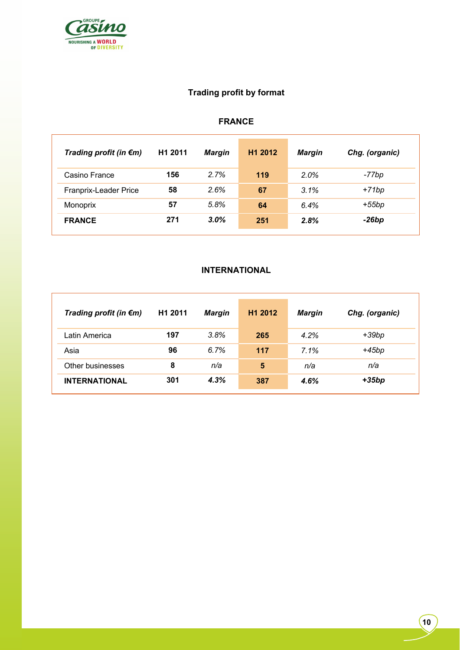

# **Trading profit by format**

# **FRANCE**

| Trading profit (in $\epsilon$ m) | H <sub>1</sub> 2011 | Margin  | H <sub>1</sub> 2012 | <b>Margin</b> | Chg. (organic) |
|----------------------------------|---------------------|---------|---------------------|---------------|----------------|
| Casino France                    | 156                 | 2.7%    | 119                 | 2.0%          | -77bp          |
| Franprix-Leader Price            | 58                  | 2.6%    | 67                  | 3.1%          | +71bp          |
| Monoprix                         | 57                  | 5.8%    | 64                  | 6.4%          | $+55bp$        |
| <b>FRANCE</b>                    | 271                 | $3.0\%$ | 251                 | 2.8%          | $-26bp$        |

# **INTERNATIONAL**

| Trading profit (in $\epsilon$ m) | H1 2011 | Margin | H <sub>1</sub> 2012 | <b>Margin</b> | Chg. (organic) |
|----------------------------------|---------|--------|---------------------|---------------|----------------|
| Latin America                    | 197     | 3.8%   | 265                 | 4.2%          | +39bp          |
| Asia                             | 96      | 6.7%   | 117                 | 7.1%          | +45bp          |
| Other businesses                 | 8       | n/a    | 5                   | n/a           | n/a            |
| <b>INTERNATIONAL</b>             | 301     | 4.3%   | 387                 | 4.6%          | $+35bp$        |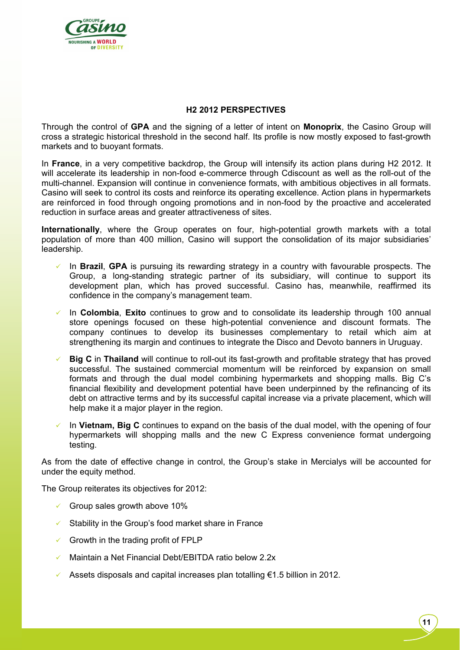

### **H2 2012 PERSPECTIVES**

Through the control of **GPA** and the signing of a letter of intent on **Monoprix**, the Casino Group will cross a strategic historical threshold in the second half. Its profile is now mostly exposed to fast-growth markets and to buoyant formats.

In **France**, in a very competitive backdrop, the Group will intensify its action plans during H2 2012. It will accelerate its leadership in non-food e-commerce through Cdiscount as well as the roll-out of the multi-channel. Expansion will continue in convenience formats, with ambitious objectives in all formats. Casino will seek to control its costs and reinforce its operating excellence. Action plans in hypermarkets are reinforced in food through ongoing promotions and in non-food by the proactive and accelerated reduction in surface areas and greater attractiveness of sites.

**Internationally**, where the Group operates on four, high-potential growth markets with a total population of more than 400 million, Casino will support the consolidation of its major subsidiaries' leadership.

- In **Brazil**, **GPA** is pursuing its rewarding strategy in a country with favourable prospects. The Group, a long-standing strategic partner of its subsidiary, will continue to support its development plan, which has proved successful. Casino has, meanwhile, reaffirmed its confidence in the company's management team.
- In **Colombia**, **Exito** continues to grow and to consolidate its leadership through 100 annual store openings focused on these high-potential convenience and discount formats. The company continues to develop its businesses complementary to retail which aim at strengthening its margin and continues to integrate the Disco and Devoto banners in Uruguay.
- **Big C** in **Thailand** will continue to roll-out its fast-growth and profitable strategy that has proved successful. The sustained commercial momentum will be reinforced by expansion on small formats and through the dual model combining hypermarkets and shopping malls. Big C's financial flexibility and development potential have been underpinned by the refinancing of its debt on attractive terms and by its successful capital increase via a private placement, which will help make it a major player in the region.
- In **Vietnam, Big C** continues to expand on the basis of the dual model, with the opening of four hypermarkets will shopping malls and the new C Express convenience format undergoing testing.

As from the date of effective change in control, the Group's stake in Mercialys will be accounted for under the equity method.

The Group reiterates its objectives for 2012:

- $\checkmark$  Group sales growth above 10%
- $\checkmark$  Stability in the Group's food market share in France
- $\checkmark$  Growth in the trading profit of FPLP
- Maintain a Net Financial Debt/EBITDA ratio below 2.2x
- Assets disposals and capital increases plan totalling  $\epsilon$ 1.5 billion in 2012.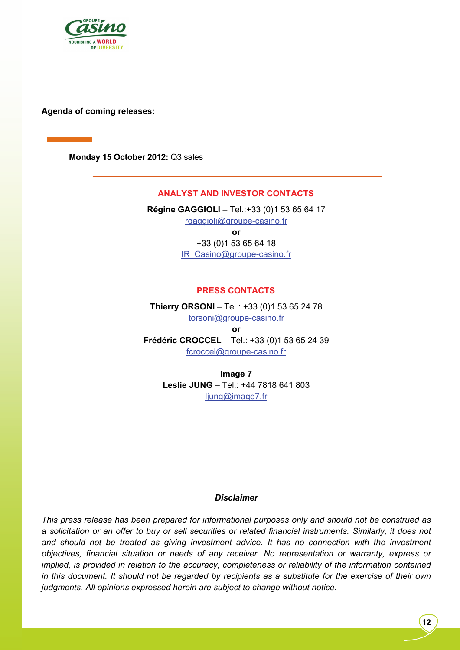

**Agenda of coming releases:** 

**Monday 15 October 2012:** Q3 sales

# **ANALYST AND INVESTOR CONTACTS Régine GAGGIOLI** – Tel.:+33 (0)1 53 65 64 17 rgaggioli@groupe-casino.fr **or**  +33 (0)1 53 65 64 18 IR\_Casino@groupe-casino.fr **PRESS CONTACTS Thierry ORSONI** – Tel.: +33 (0)1 53 65 24 78 torsoni@groupe-casino.fr **or Frédéric CROCCEL** – Tel.: +33 (0)1 53 65 24 39 fcroccel@groupe-casino.fr **Image 7**

**Leslie JUNG** – Tel.: +44 7818 641 803 ljung@image7.fr

#### *Disclaimer*

*This press release has been prepared for informational purposes only and should not be construed as a solicitation or an offer to buy or sell securities or related financial instruments. Similarly, it does not and should not be treated as giving investment advice. It has no connection with the investment objectives, financial situation or needs of any receiver. No representation or warranty, express or implied, is provided in relation to the accuracy, completeness or reliability of the information contained in this document. It should not be regarded by recipients as a substitute for the exercise of their own judgments. All opinions expressed herein are subject to change without notice.*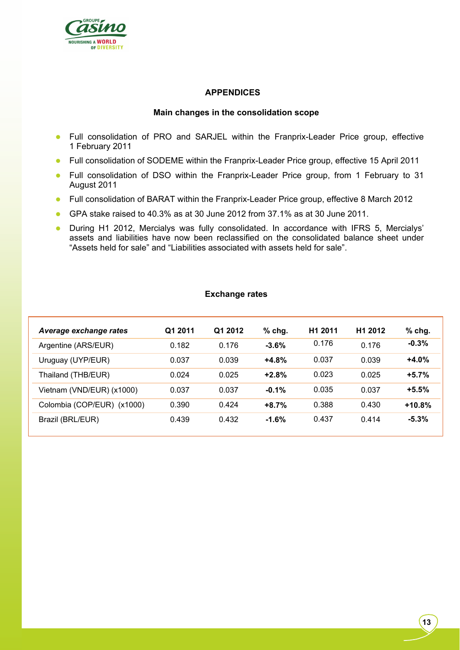

### **APPENDICES**

#### **Main changes in the consolidation scope**

- Full consolidation of PRO and SARJEL within the Franprix-Leader Price group, effective 1 February 2011
- Full consolidation of SODEME within the Franprix-Leader Price group, effective 15 April 2011
- Full consolidation of DSO within the Franprix-Leader Price group, from 1 February to 31 August 2011
- Full consolidation of BARAT within the Franprix-Leader Price group, effective 8 March 2012
- GPA stake raised to 40.3% as at 30 June 2012 from 37.1% as at 30 June 2011.
- During H1 2012, Mercialys was fully consolidated. In accordance with IFRS 5, Mercialys' assets and liabilities have now been reclassified on the consolidated balance sheet under "Assets held for sale" and "Liabilities associated with assets held for sale".

#### **Exchange rates**

| Average exchange rates     | Q1 2011 | Q1 2012 | $%$ chg. | H <sub>1</sub> 2011 | H <sub>1</sub> 2012 | $%$ chg. |
|----------------------------|---------|---------|----------|---------------------|---------------------|----------|
| Argentine (ARS/EUR)        | 0.182   | 0.176   | $-3.6%$  | 0.176               | 0.176               | $-0.3%$  |
| Uruguay (UYP/EUR)          | 0.037   | 0.039   | $+4.8%$  | 0.037               | 0.039               | $+4.0%$  |
| Thailand (THB/EUR)         | 0.024   | 0.025   | $+2.8%$  | 0.023               | 0.025               | $+5.7%$  |
| Vietnam (VND/EUR) (x1000)  | 0.037   | 0.037   | $-0.1%$  | 0.035               | 0.037               | $+5.5%$  |
| Colombia (COP/EUR) (x1000) | 0.390   | 0.424   | $+8.7%$  | 0.388               | 0.430               | $+10.8%$ |
| Brazil (BRL/EUR)           | 0.439   | 0.432   | $-1.6\%$ | 0.437               | 0.414               | $-5.3%$  |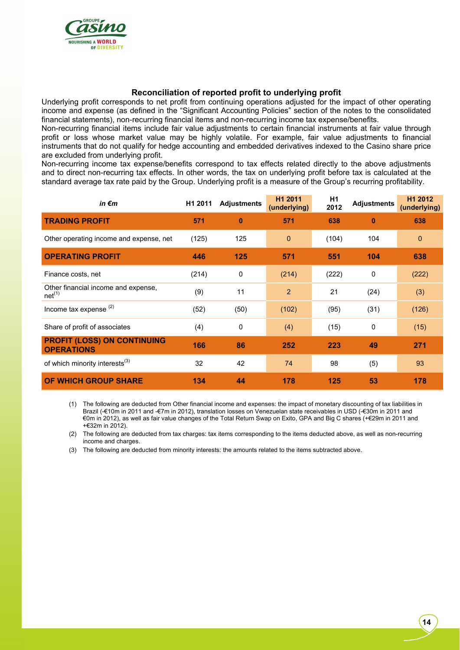

#### **Reconciliation of reported profit to underlying profit**

Underlying profit corresponds to net profit from continuing operations adjusted for the impact of other operating income and expense (as defined in the "Significant Accounting Policies" section of the notes to the consolidated financial statements), non-recurring financial items and non-recurring income tax expense/benefits.

Non-recurring financial items include fair value adjustments to certain financial instruments at fair value through profit or loss whose market value may be highly volatile. For example, fair value adjustments to financial instruments that do not qualify for hedge accounting and embedded derivatives indexed to the Casino share price are excluded from underlying profit.

Non-recurring income tax expense/benefits correspond to tax effects related directly to the above adjustments and to direct non-recurring tax effects. In other words, the tax on underlying profit before tax is calculated at the standard average tax rate paid by the Group. Underlying profit is a measure of the Group's recurring profitability.

| in $\epsilon$ m                                           | H1 2011 | <b>Adjustments</b> | H1 2011<br>(underlying) | H1<br>2012 | <b>Adjustments</b> | H <sub>1</sub> 2012<br>(underlying) |
|-----------------------------------------------------------|---------|--------------------|-------------------------|------------|--------------------|-------------------------------------|
| <b>TRADING PROFIT</b>                                     | 571     | $\bf{0}$           | 571                     | 638        | $\bf{0}$           | 638                                 |
| Other operating income and expense, net                   | (125)   | 125                | $\mathbf{0}$            | (104)      | 104                | $\mathbf 0$                         |
| <b>OPERATING PROFIT</b>                                   | 446     | 125                | 571                     | 551        | 104                | 638                                 |
| Finance costs, net                                        | (214)   | 0                  | (214)                   | (222)      | 0                  | (222)                               |
| Other financial income and expense,<br>net <sup>(1)</sup> | (9)     | 11                 | $\overline{2}$          | 21         | (24)               | (3)                                 |
| Income tax expense $(2)$                                  | (52)    | (50)               | (102)                   | (95)       | (31)               | (126)                               |
| Share of profit of associates                             | (4)     | 0                  | (4)                     | (15)       | 0                  | (15)                                |
| <b>PROFIT (LOSS) ON CONTINUING</b><br><b>OPERATIONS</b>   | 166     | 86                 | 252                     | 223        | 49                 | 271                                 |
| of which minority interests <sup>(3)</sup>                | 32      | 42                 | 74                      | 98         | (5)                | 93                                  |
| OF WHICH GROUP SHARE                                      | 134     | 44                 | 178                     | 125        | 53                 | 178                                 |

(1) The following are deducted from Other financial income and expenses: the impact of monetary discounting of tax liabilities in Brazil (-€10m in 2011 and -€7m in 2012), translation losses on Venezuelan state receivables in USD (-€30m in 2011 and €0m in 2012), as well as fair value changes of the Total Return Swap on Exito, GPA and Big C shares (+€29m in 2011 and +€32m in 2012).

(2) The following are deducted from tax charges: tax items corresponding to the items deducted above, as well as non-recurring income and charges.

(3) The following are deducted from minority interests: the amounts related to the items subtracted above.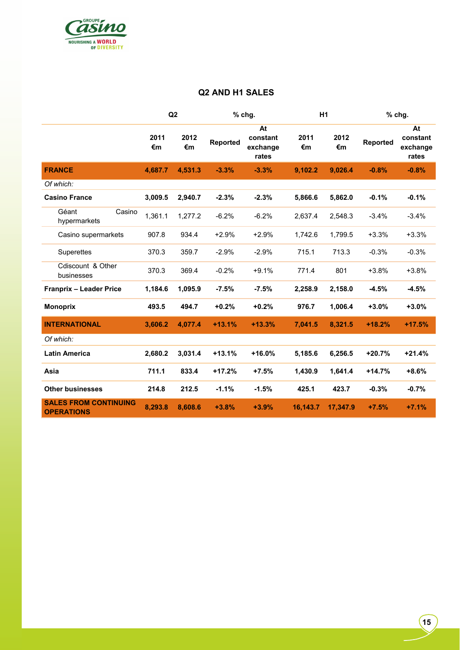

### **Q2 AND H1 SALES**

|                                                   |            | Q2         |          | % chg.                              | H <sub>1</sub> |            | % chg.   |                                     |
|---------------------------------------------------|------------|------------|----------|-------------------------------------|----------------|------------|----------|-------------------------------------|
|                                                   | 2011<br>€m | 2012<br>€m | Reported | At<br>constant<br>exchange<br>rates | 2011<br>€m     | 2012<br>€m | Reported | At<br>constant<br>exchange<br>rates |
| <b>FRANCE</b>                                     | 4,687.7    | 4,531.3    | $-3.3%$  | $-3.3%$                             | 9,102.2        | 9,026.4    | $-0.8%$  | $-0.8%$                             |
| Of which:                                         |            |            |          |                                     |                |            |          |                                     |
| <b>Casino France</b>                              | 3,009.5    | 2,940.7    | $-2.3%$  | $-2.3%$                             | 5,866.6        | 5,862.0    | $-0.1%$  | $-0.1%$                             |
| Géant<br>Casino<br>hypermarkets                   | 1,361.1    | 1,277.2    | $-6.2%$  | $-6.2%$                             | 2,637.4        | 2,548.3    | $-3.4%$  | $-3.4%$                             |
| Casino supermarkets                               | 907.8      | 934.4      | $+2.9%$  | $+2.9%$                             | 1,742.6        | 1,799.5    | $+3.3%$  | $+3.3%$                             |
| Superettes                                        | 370.3      | 359.7      | $-2.9%$  | $-2.9%$                             | 715.1          | 713.3      | $-0.3%$  | $-0.3%$                             |
| Cdiscount & Other<br>businesses                   | 370.3      | 369.4      | $-0.2%$  | $+9.1%$                             | 771.4          | 801        | $+3.8%$  | $+3.8%$                             |
| <b>Franprix - Leader Price</b>                    | 1,184.6    | 1,095.9    | $-7.5%$  | $-7.5%$                             | 2,258.9        | 2,158.0    | $-4.5%$  | $-4.5%$                             |
| <b>Monoprix</b>                                   | 493.5      | 494.7      | $+0.2%$  | $+0.2%$                             | 976.7          | 1,006.4    | $+3.0%$  | $+3.0%$                             |
| <b>INTERNATIONAL</b>                              | 3,606.2    | 4,077.4    | $+13.1%$ | $+13.3%$                            | 7,041.5        | 8,321.5    | $+18.2%$ | $+17.5%$                            |
| Of which:                                         |            |            |          |                                     |                |            |          |                                     |
| <b>Latin America</b>                              | 2,680.2    | 3,031.4    | $+13.1%$ | $+16.0%$                            | 5,185.6        | 6,256.5    | $+20.7%$ | $+21.4%$                            |
| Asia                                              | 711.1      | 833.4      | $+17.2%$ | $+7.5%$                             | 1,430.9        | 1,641.4    | $+14.7%$ | $+8.6%$                             |
| <b>Other businesses</b>                           | 214.8      | 212.5      | $-1.1%$  | $-1.5%$                             | 425.1          | 423.7      | $-0.3%$  | $-0.7%$                             |
| <b>SALES FROM CONTINUING</b><br><b>OPERATIONS</b> | 8,293.8    | 8,608.6    | $+3.8%$  | $+3.9%$                             | 16,143.7       | 17,347.9   | $+7.5%$  | $+7.1%$                             |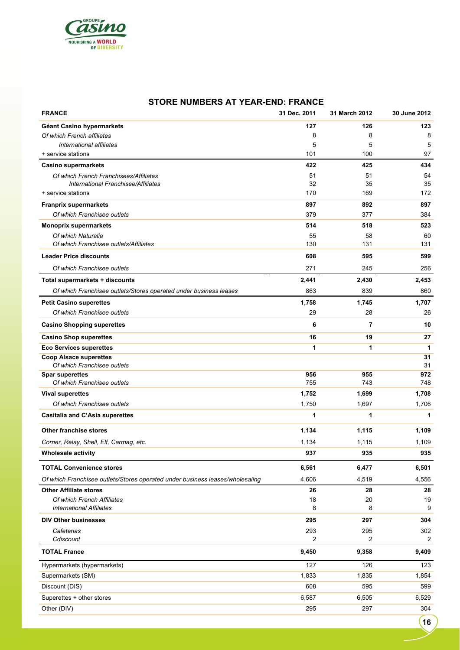

#### **STORE NUMBERS AT YEAR-END: FRANCE**

| <b>FRANCE</b>                                                                 | 31 Dec. 2011 | 31 March 2012 | 30 June 2012 |
|-------------------------------------------------------------------------------|--------------|---------------|--------------|
| Géant Casino hypermarkets                                                     | 127          | 126           | 123          |
| Of which French affiliates                                                    | 8            | 8             | 8            |
| International affiliates                                                      | 5            | 5             | 5            |
| + service stations                                                            | 101          | 100           | 97           |
| <b>Casino supermarkets</b>                                                    | 422          | 425           | 434          |
| Of which French Franchisees/Affiliates                                        | 51           | 51            | 54           |
| International Franchisee/Affiliates                                           | 32           | 35            | 35           |
| + service stations                                                            | 170          | 169           | 172          |
| <b>Franprix supermarkets</b>                                                  | 897          | 892           | 897          |
| Of which Franchisee outlets                                                   | 379          | 377           | 384          |
| <b>Monoprix supermarkets</b>                                                  | 514          | 518           | 523          |
| Of which Naturalia<br>Of which Franchisee outlets/Affiliates                  | 55<br>130    | 58<br>131     | 60<br>131    |
|                                                                               |              |               |              |
| <b>Leader Price discounts</b>                                                 | 608          | 595           | 599          |
| Of which Franchisee outlets                                                   | 271          | 245           | 256          |
| Total supermarkets + discounts                                                | 2,441        | 2,430         | 2,453        |
| Of which Franchisee outlets/Stores operated under business leases             | 863          | 839           | 860          |
| <b>Petit Casino superettes</b>                                                | 1,758        | 1,745         | 1,707        |
| Of which Franchisee outlets                                                   | 29           | 28            | 26           |
| <b>Casino Shopping superettes</b>                                             | 6            | 7             | 10           |
| <b>Casino Shop superettes</b>                                                 | 16           | 19            | 27           |
| <b>Eco Services superettes</b>                                                | 1            | 1             | $\mathbf{1}$ |
| <b>Coop Alsace superettes</b><br>Of which Franchisee outlets                  |              |               | 31<br>31     |
| <b>Spar superettes</b>                                                        | 956          | 955           | 972          |
| Of which Franchisee outlets                                                   | 755          | 743           | 748          |
| <b>Vival superettes</b>                                                       | 1,752        | 1,699         | 1,708        |
| Of which Franchisee outlets                                                   | 1,750        | 1,697         | 1,706        |
| Casitalia and C'Asia superettes                                               | 1            | 1             | 1            |
| <b>Other franchise stores</b>                                                 | 1,134        | 1,115         | 1,109        |
| Corner, Relay, Shell, Elf, Carmag, etc.                                       | 1,134        | 1,115         | 1,109        |
| <b>Wholesale activity</b>                                                     | 937          | 935           | 935          |
| <b>TOTAL Convenience stores</b>                                               | 6,561        | 6,477         | 6,501        |
| Of which Franchisee outlets/Stores operated under business leases/wholesaling | 4,606        | 4,519         | 4,556        |
| <b>Other Affiliate stores</b>                                                 | 26           | 28            | 28           |
| Of which French Affiliates                                                    | 18           | 20            | 19           |
| <b>International Affiliates</b>                                               | 8            | 8             | 9            |
| <b>DIV Other businesses</b>                                                   | 295          | 297           | 304          |
| Cafeterias                                                                    | 293          | 295           | 302          |
| Cdiscount                                                                     | 2            | 2             | 2            |
| <b>TOTAL France</b>                                                           | 9,450        | 9,358         | 9,409        |
| Hypermarkets (hypermarkets)                                                   | 127          | 126           | 123          |
| Supermarkets (SM)                                                             | 1,833        | 1,835         | 1,854        |
| Discount (DIS)                                                                | 608          | 595           | 599          |
| Superettes + other stores                                                     | 6,587        | 6,505         | 6,529        |
| Other (DIV)                                                                   | 295          | 297           | 304          |